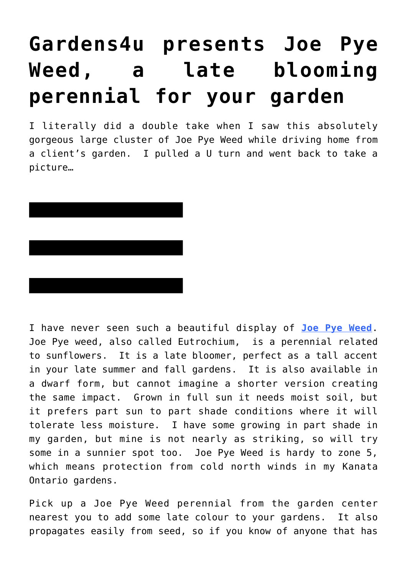## **[Gardens4u presents Joe Pye](https://loreeebee.ca/2015/09/11/gardens4u-presents-joe-pye-weed/) [Weed, a late blooming](https://loreeebee.ca/2015/09/11/gardens4u-presents-joe-pye-weed/) [perennial for your garden](https://loreeebee.ca/2015/09/11/gardens4u-presents-joe-pye-weed/)**

I literally did a double take when I saw this absolutely gorgeous large cluster of Joe Pye Weed while driving home from a client's garden. I pulled a U turn and went back to take a picture…



I have never seen such a beautiful display of **[Joe Pye Weed](https://en.wikipedia.org/wiki/Eutrochium)**. Joe Pye weed, also called Eutrochium, is a perennial related to sunflowers. It is a late bloomer, perfect as a tall accent in your late summer and fall gardens. It is also available in a dwarf form, but cannot imagine a shorter version creating the same impact. Grown in full sun it needs moist soil, but it prefers part sun to part shade conditions where it will tolerate less moisture. I have some growing in part shade in my garden, but mine is not nearly as striking, so will try some in a sunnier spot too. Joe Pye Weed is hardy to zone 5, which means protection from cold north winds in my Kanata Ontario gardens.

Pick up a Joe Pye Weed perennial from the garden center nearest you to add some late colour to your gardens. It also propagates easily from seed, so if you know of anyone that has